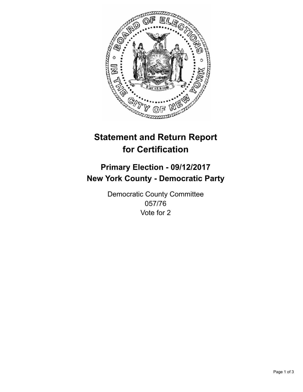

## **Statement and Return Report for Certification**

## **Primary Election - 09/12/2017 New York County - Democratic Party**

Democratic County Committee 057/76 Vote for 2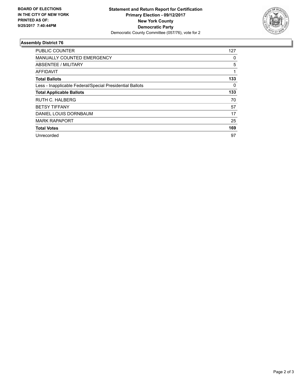

## **Assembly District 76**

| <b>PUBLIC COUNTER</b>                                    | 127 |
|----------------------------------------------------------|-----|
| <b>MANUALLY COUNTED EMERGENCY</b>                        | 0   |
| ABSENTEE / MILITARY                                      | 5   |
| AFFIDAVIT                                                | 1   |
| <b>Total Ballots</b>                                     | 133 |
| Less - Inapplicable Federal/Special Presidential Ballots | 0   |
| <b>Total Applicable Ballots</b>                          | 133 |
| RUTH C. HALBERG                                          | 70  |
| <b>BETSY TIFFANY</b>                                     | 57  |
| DANIEL LOUIS DORNBAUM                                    | 17  |
| <b>MARK RAPAPORT</b>                                     | 25  |
| <b>Total Votes</b>                                       | 169 |
| Unrecorded                                               | 97  |